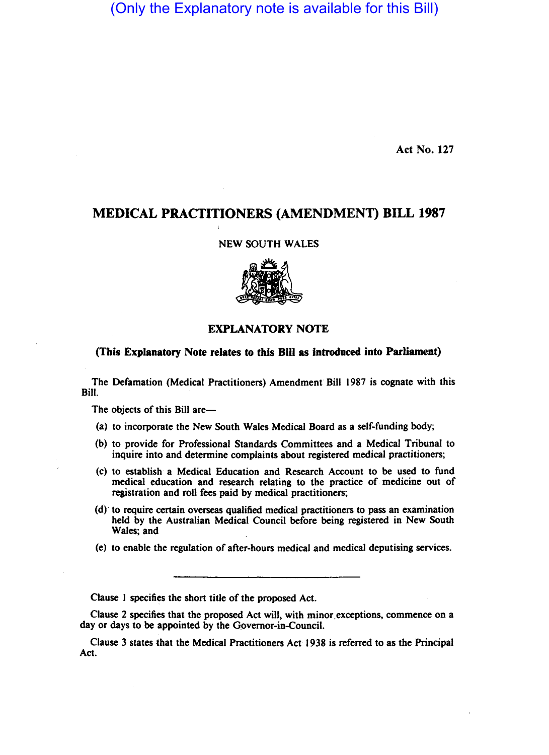# (Only the Explanatory note is available for this Bill)

Act No. 127

# MEDICAL PRACTITIONERS (AMENDMENT) BILL 1987

NEW SOUTH WALES



## EXPLANATORY NOTE

## (This' Explanatory Note relates to this Bill as introduced into Parliament)

The Defamation (Medical Practitioners) Amendment Bill 1987 is cognate with this Bill.

The objects of this Bill are-

- (a) to incorporate the New South Wales Medical Board as a self-funding body;
- (b) to provide for Professional Standards Committees and a Medical Tribunal to inquire into and determine complaints about registered medical practitioners;
- (c) to establish a Medical Education and Research Account to be used to fund medical education and research relating to the practice of medicine out of registration and roll fees paid by medical practitioners;
- (d)' to require certain overseas qualified medical practitioners to pass an examination held by the Australian Medical Council before being registered in New South Wales; and
- (e) to enable the regulation of after-hours medical and medical deputising services.

Clause 1 specifies the short title of the proposed Act.

Clause 2 specifies that the proposed Act will, with minor exceptions, commence on a day or days to be appointed by the Governor-in-Council.

Clause 3 states that the Medical Practitioners Act 1938 is referred to as the Principal Act.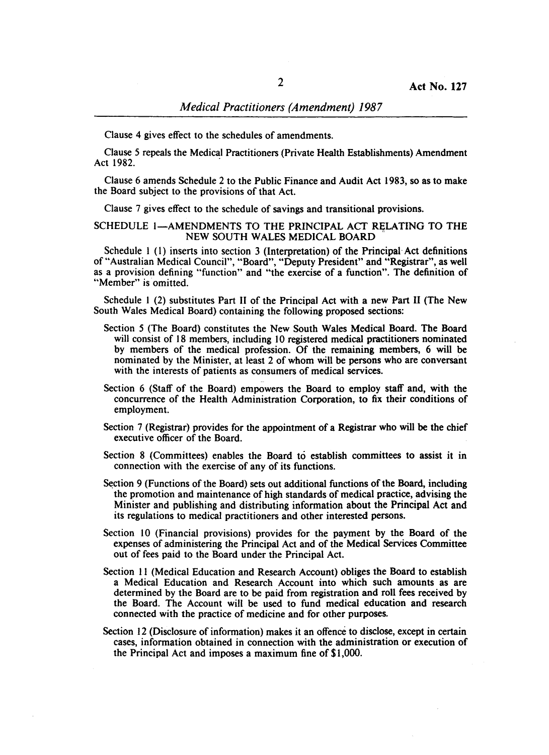Clause 4 gives effect to the schedules of amendments.

Clause 5 repeals the Medical Practitioners (Private Health Establishments) Amendment Act 1982.

Clause 6 amends Schedule 2 to the Public Finance and Audit Act 1983, so as to make the Board subject to the provisions of that Act.

Clause 7 gives effect to the schedule of savings and transitional provisions.

### SCHEDULE 1-AMENDMENTS TO THE PRINCIPAL ACT RELATING TO THE NEW SOUTH WALES MEDICAL BOARD

Schedule 1 (1) inserts into section 3 (Interpretation) of the Principal Act definitions of "Australian Medical Council", "Board", "Deputy President" and "Registrar", as well as a provision defining "function" and "the exercise of a function". The definition of "Member" is omitted.

Schedule I (2) substitutes Part 11 of the Principal Act with a new Part 11 (The New South Wales Medical Board) containing the following proposed sections:

- Section 5 (The Board) constitutes the New South Wales Medical Board. The Board will consist of 18 members, including 10 registered medical practitioners nominated by members of the medical profession. Of the remaining members, 6 will be nominated by the Minister, at least 2 of whom will be persons who are conversant with the interests of patients as consumers of medical services.
- Section 6 (Staff of the Board) empowers the Board to employ staff and, with the concurrence of the Health Administration Corporation, to fix their conditions of employment.
- Section 7 (Registrar) provides for the appointment of a Registrar who will be the chief executive officer of the Board.
- Section 8 (Committees) enables the Board to establish committees to assist it in connection with the exercise of any of its functions.
- Section 9 (Functions of the Board) sets out additional functions of the Board, including the promotion and maintenance of high standards of medical practice, advising the Minister and publishing and distributing information about the Principal Act and its regulations to medical practitioners and other interested persons.
- Section 10 (Financial provisions) provides for the payment by the Board of the expenses of administering the Principal Act and of the Medical Services Committee out of fees paid to the Board under the Principal Act.
- Section 11 (Medical Education and Research Account) obliges the Board to establish a Medical Education and Research Account into which such amounts as are determined by the Board are to be paid from registration and roll fees received by the Board. The Account will be used to fund medical education and research connected with the practice of medicine and for other purposes.
- Section 12 (Disclosure of information) makes it an offence to disclose, except in certain cases, information obtained in connection with the administration or execution of the Principal Act and imposes a maximum fine of \$1,000.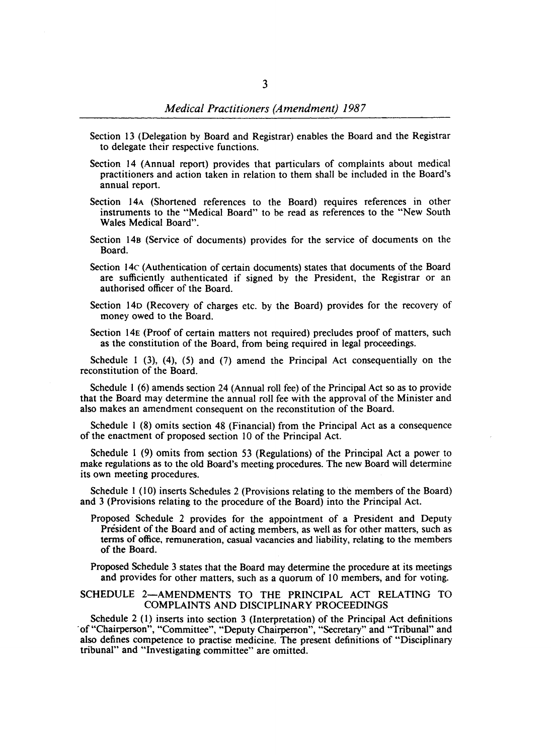- Section 13 (Delegation by Board and Registrar) enables the Board and the Registrar to delegate their respective functions.
- Section 14 (Annual report) provides that particulars of complaints about medical practitioners and action taken in relation to them shall be included in the Board's annual report.
- Section 14A (Shortened references to the Board) requires references in other instruments to the "Medical Board" to be read as references to the "New South Wales Medical Board".
- Section 14B (Service of documents) provides for the service of documents on the Board.
- Section 14C (Authentication of certain documents) states that documents of the Board are sufficiently authenticated if signed by the President, the Registrar or an authorised officer of the Board.
- Section 140 (Recovery of charges etc. by the Board) provides for the recovery of money owed to the Board.
- Section 14E (Proof of certain matters not required) precludes proof of matters, such as the constitution of the Board, from being required in legal proceedings.

Schedule I (3), (4), (5) and (7) amend the Principal Act consequentially on the reconstitution of the Board.

Schedule I (6) amends section 24 (Annual roll fee) of the Principal Act so as to provide that the Board may determine the annual roll fee with the approval of the Minister and also makes an amendment consequent on the reconstitution of the Board.

Schedule I (8) omits section 48 (Financial) from the Principal Act as a consequence of the enactment of proposed section 10 of the Principal Act.

Schedule I (9) omits from section 53 (Regulations) of the Principal Act a power to make regulations as to the old Board's meeting procedures. The new Board will determine its own meeting procedures.

Schedule I (10) inserts Schedules 2 (Provisions relating to the members of the Board) and 3 (Provisions relating to the procedure of the Board) into the Principal Act.

Proposed Schedule 2 provides for the appointment of a President and Deputy President of the Board and of acting members, as well as for other matters, such as terms of office, remuneration, casual vacancies and liability, relating to the members of the Board.

Proposed Schedule 3 states that the Board may determine the procedure at its meetings and provides for other matters, such as a quorum of 10 members, and for voting.

### SCHEDULE 2-AMENDMENTS TO THE PRINCIPAL ACT RELATING TO COMPLAINTS AND DISCIPLINARY PROCEEDINGS

Schedule 2 (I) inserts into section 3 (Interpretation) of the Principal Act definitions of "Chairperson", "Committee", "Deputy Chairperson", "Secretary" and "Tribunal" and also defines competence to practise medicine. The present definitions of "Disciplinary tribunal" and "Investigating committee" are omitted.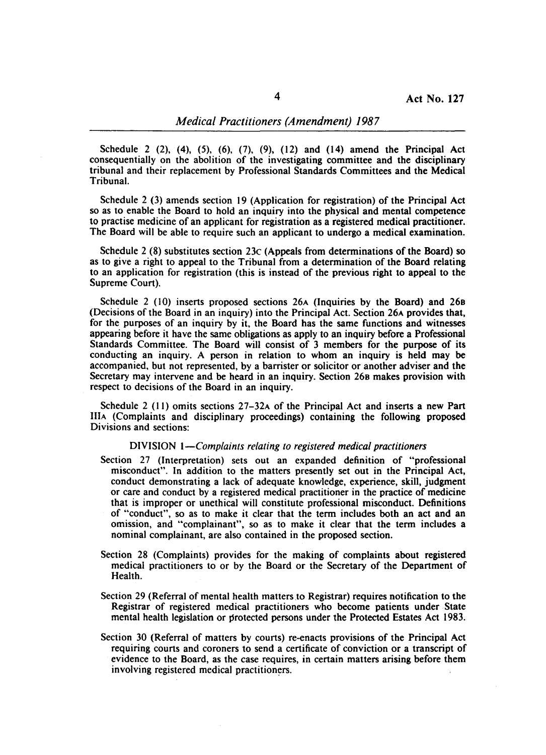Schedule 2 (2), (4), (5), (6), (7), (9), (12) and (14) amend the Principal Act consequentially on the abolition of the investigating committee and the disciplinary tribunal and their replacement by Professional Standards Committees and the Medical Tribunal.

Schedule 2 (3) amends section 19 (Application for registration) of the Principal Act so as to enable the Board to hold an inquiry into the physical and mental competence to practise medicine of an applicant for registration as a registered medical practitioner. The Board will be able to require such an applicant to undergo a medical examination.

Schedule 2 (8) substitutes section 23c (Appeals from determinations of the Board) so as to give a right to appeal to the Tribunal from a determination of the Board relating to an application for registration (this is instead of the previous right to appeal to the Supreme Court).

Schedule 2 (10) inserts proposed sections 26A (Inquiries by the Board) and 268 (Decisions of the Board in an inquiry) into the Principal Act. Section 26A provides that, for the purposes of an inquiry by it, the Board has the same functions and witnesses appearing before it have the same obligations as apply to an inquiry before a Professional Standards Committee. The Board will consist of 3 members for the purpose of its conducting an inquiry. A person in relation to whom an inquiry is held may be accompanied. but not represented, by a barrister or solicitor or another adviser and the Secretary may intervene and be heard in an inquiry. Section 268 makes provision with respect to decisions of the Board in an inquiry.

Schedule 2 (11) omits sections 27-32A of the Principal Act and inserts a new Part IlIA (Complaints and disciplinary proceedings) containing the following proposed Divisions and sections:

### DIVISION *I-Complaints relating to registered medical practitioners*

- Section 27 (Interpretation) sets out an expanded definition of "professional misconduct". In addition to the matters presently set out in the Principal Act, conduct demonstrating a lack of adequate knowledge, experience, skill, judgment or care and conduct by a registered medical practitioner in the practice of medicine that is improper or unethical will constitute professional misconduct. Definitions of "conduct", so as to make it clear that the term includes both an act and an omission, and "complainant", so as to make it clear that the term includes a nominal complainant, are also contained in the proposed section.
- Section 28 (Complaints) provides for the making of complaints about registered medical practitioners to or by the Board or the Secretary of the Department of Health.
- Section 29 (Referral of mental health matters to Registrar) requires notification to the Registrar of registered medical practitioners who become patients under State mental health legislation or protected persons under the Protected Estates Act 1983.
- Section 30 (Referral of matters by courts) re-enacts provisions of the Principal Act requiring courts and coroners to send a certificate of conviction or a transcript of evidence to the Board, as the case requires, in certain matters arising before them involving registered medical practitioners.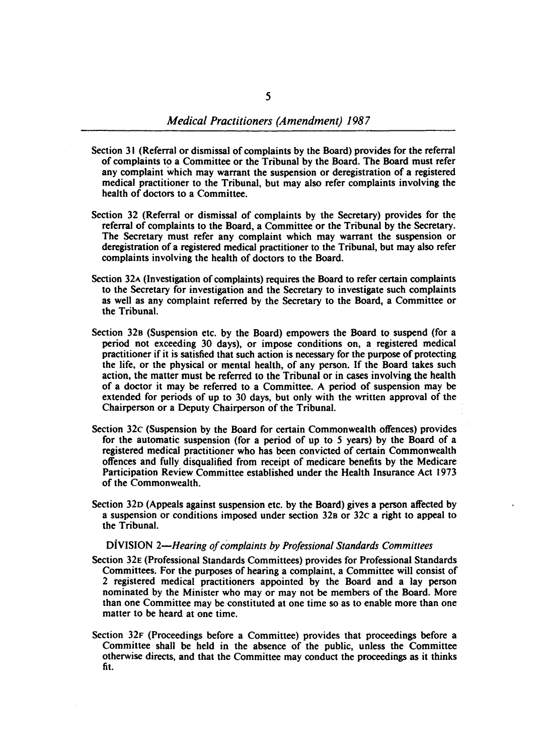- Section 31 (Referral or dismissal of complaints by the Board) provides for the referral of complaints to a Committee or the Tribunal by the Board. The Board must refer any complaint which may warrant the suspension or deregistration of a registered medical practitioner to the Tribunal, but may also refer complaints involving the health of doctors to a Committee.
- Section 32 (Referral or dismissal of complaints by the Secretary) provides for the referral of complaints to the Board, a Committee or the Tribunal by the Secretary. The Secretary must refer any complaint which may warrant the suspension or deregistration of a registered medical practitioner to the Tribunal, but may also refer complaints involving the health of doctors to the Board.
- Section 32A (Investigation of complaints) requires the Board to refer certain complaints to the Secretary for investigation and the Secretary to investigate such complaints as well as any complaint referred by the Secretary to the Board, a Committee or the Tribunal.
- Section 328 (Suspension etc. by the Board) empowers the Board to suspend (for a period not exceeding 30 days), or impose conditions on, a registered medical practitioner if it is satisfied that such action is necessary for the purpose of protecting the life, or the physical or mental health, of any person. If the Board takes such action, the matter must be referred to the Tribunal or in cases involving the health of a doctor it may be referred to a Committee. A period of suspension may be extended for periods of up to 30 days, but only with the written approval of the Chairperson or a Deputy Chairperson of the Tribunal.
- Section 32c (Suspension by the Board for certain Commonwealth offences) provides for the automatic suspension (for a period of up to 5 years) by the Board of a registered medical practitioner who has been convicted of certain Commonwealth offences and fully disqualified from receipt of medicare benefits by the Medicare Participation Review Committee established under the Health Insurance Act 1973 of the Commonwealth.
- Section 320 (Appeals against suspension etc. by the Board) gives a person affected by a suspension or conditions imposed under section 328 or 32c a right to appeal to the Tribunal.

#### DiVISION *2-Hearing of complaints by Professional Standards Committees*

- Section 32E (Professional Standards Committees) provides for Professional Standards Committees. For the purposes of hearing a complaint, a Committee will consist of 2 registered medical practitioners appointed by the Board and a lay person nominated by the Minister who mayor may not be members of the Board. More than one Committee may be constituted at one time so as to enable more than one matter to be heard at one time.
- Section 32F (Proceedings before a Committee) provides that proceedings before a Committee shall be held in the absence of the public, unless the Committee otherwise directs, and that the Committee may conduct the proceedings as it thinks fit.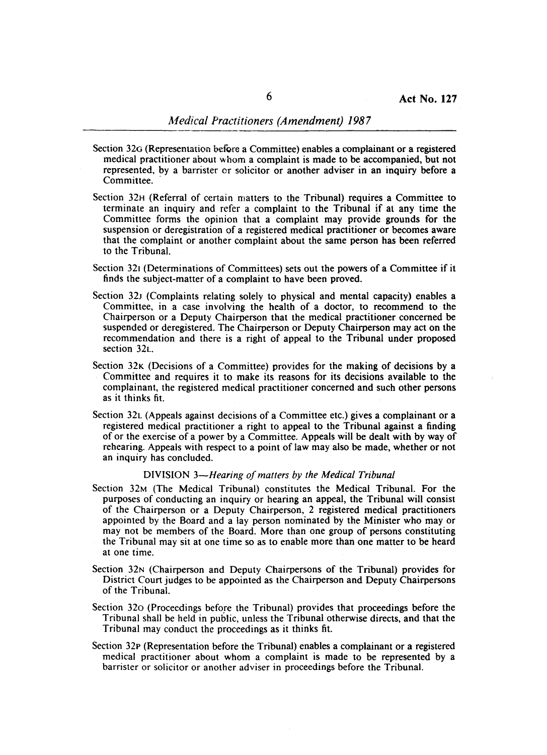- Section 32G (Representation before a Committee) enables a complainant or a registered medical practitioner about whom a complaint is made to be accompanied, but not represented, by a barrister or solicitor or another adviser in an inquiry before a Committee.
- Section 32H (Referral of certain matters to the Tribunal) requires a Committee to terminate an inquiry and refer a complaint to the Tribunal if at any time the Committee forms the opinion that a complaint may provide grounds for the suspension or deregistration of a registered medical practitioner or becomes aware that the complaint or another complaint about the same person has been referred to the Tribunal.
- Section 321 (Determinations of Committees) sets out the powers of a Committee if it finds the subject-matter of a complaint to have been proved.
- Section 32J (Complaints relating solely to physical and mental capacity) enables a Committee, in a case involving the health of a doctor, to recommend to the Chairperson or a Deputy Chairperson that the medical practitioner concerned be suspended or deregistered. The Chairperson or Deputy Chairperson may act on the recommendation and there is a right of appeal to the Tribunal under proposed section 32L.
- Section 32<sub>K</sub> (Decisions of a Committee) provides for the making of decisions by a Committee and requires it to make its reasons for its decisions available to the complainant, the registered medical practitioner concerned and such other persons as it thinks fit.
- Section 32L (Appeals against decisions of a Committee etc.) gives a complainant or a registered medical practitioner a right to appeal to the Tribunal against a finding of or the exercise of a power by a Committee. Appeals will be dealt with by way of rehearing. Appeals with respect to a point of law may also be made, whether or not an inquiry has concluded.

#### DIVISION *3-Hearing of matters by the Medical Tribunal*

- Section 32M (The Medical Tribunal) constitutes the Medical Tribunal. For the purposes of conducting an inquiry or hearing an appeal, the Tribunal will consist of the Chairperson or a Deputy Chairperson, 2 registered medical practitioners appointed by the Board and a lay person nominated by the Minister who mayor may not be members of the Board. More than one group of persons constituting the Tribunal may sit at one time so as to enable more than one matter to be heard at one time.
- Section 32N (Chairperson and Deputy Chairpersons of the Tribunal) provides for District Court judges to be appointed as the Chairperson and Deputy Chairpersons of the Tribunal.
- Section 320 (Proceedings before the Tribunal) provides that proceedings before the Tribunal shall be held in public, unless the Tribunal otherwise directs, and that the Tribunal may conduct the proceedings as it thinks fit.
- Section 32p (Representation before the Tribunal) enables a complainant or a registered medical practitioner about whom a complaint is made to be represented by a barrister or solicitor or another adviser in proceedings before the Tribunal.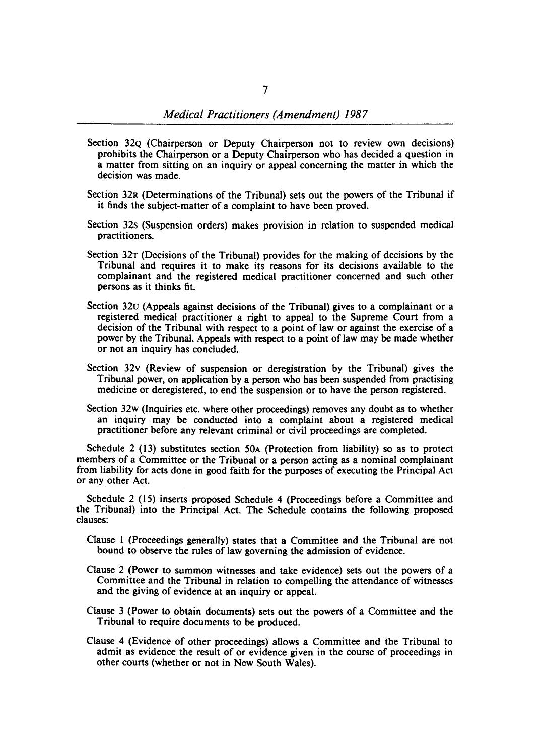- Section 32Q (Chairperson or Deputy Chairperson not to review own decisions) prohibits the Chairperson or a Deputy Chairperson who has decided a question in a matter from sitting on an inquiry or appeal concerning the matter in which the decision was made.
- Section 32R (Determinations of the Tribunal) sets out the powers of the Tribunal if it finds the subject-mattet of a complaint to have been proved.
- Section 32s (Suspension orders) makes provision in relation to suspended medical practitioners.
- Section 32T (Decisions of the Tribunal) provides for the making of decisions by the Tribunal and requires it to make its reasons for its decisions available to the complainant and the registered medical practitioner concerned and such other persons as it thinks fit.
- Section 32u (Appeals against decisions of the Tribunal) gives to a complainant or a registered medical practitioner a right to appeal to the Supreme Court from a decision of the Tribunal with respect to a point of law or against the exercise of a power by the Tribunal. Appeals with respect to a point of law may be made whether or not an inquiry has concluded.
- Section 32v (Review of suspension or deregistration by the Tribunal) gives the Tribunal power, on application by a person who has been suspended from practising medicine or deregistered, to end the suspension or to have the person registered.
- Section 32w (Inquiries etc. where other proceedings) removes any doubt as to whether an inquiry may be conducted into a complaint about a registered medical practitioner before any relevant criminal or civil proceedings are completed.

Schedule 2 (13) substitutes section *SOA* (Protection from liability) so as to protect members of a Committee or the Tribunal or a person acting as a nominal complainant from liability for acts done in good faith for the purposes of executing the Principal Act or any other Act.

Schedule 2 (15) inserts proposed Schedule 4 (Proceedings before a Committee and the Tribunal) into the Principal Act. The Schedule contains the following proposed clauses:

- Clause I (Proceedings generally) states that a Committee and the Tribunal are not bound to observe the rules of law governing the admission of evidence.
- Clause 2 (Power to summon witnesses and take evidence) sets out the powers of a Committee and the Tribunal in relation to compelling the attendance of witnesses and the giving of evidence at an inquiry or appeal.
- Clause 3 (Power to obtain documents) sets out the powers.of a Committee and the Tribunal to require documents to be produced.
- Clause 4 (Evidence of other proceedings) allows a Committee and the Tribunal to admit as evidence the result of or evidence given in the course of proceedings in other courts (whether or not in New South Wales).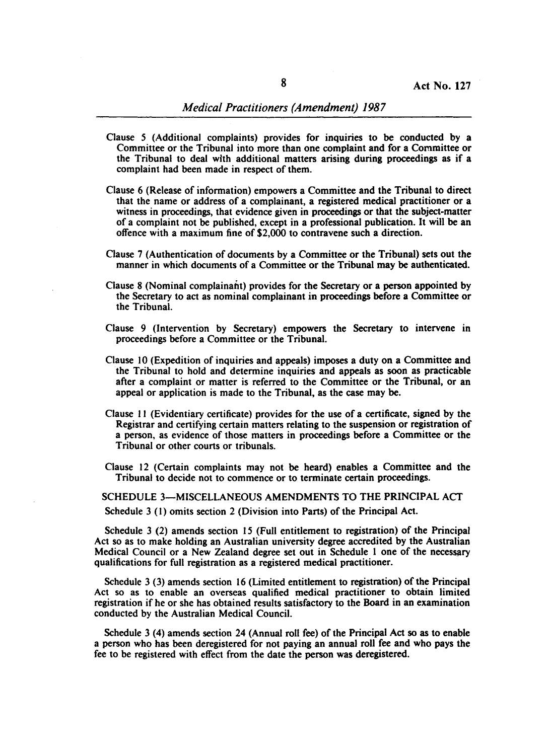- Clause 5 (Additional complaints) provides for inquiries to be conducted by a Committee or the Tribunal into more than one complaint and for a Committee or the Tribunal to deal with additional matters. arising during proceedings as if a complaint had been made in respect of them.
- Clause 6 (Release of information) empowers a Committee and the Tribunal to direct that the name or address of a complainant, a registered medical practitioner or a witness in proceedings, that evidence given in proceedings or that the subject-matter of a complaint not be published, except in a professional publication. It will be an offence with a maximum fine of \$2,000 to contravene such a direction.
- Clause 7 (Authentication of documents by a Committee or the Tribunal) sets out the manner in which documents of a Committee or the Tribunal may be authenticated.
- Clause 8 (Nominal complainaht) provides for the Secretary or a person appointed by the Secretary to act as nominal complainant in proceedings before a Committee or the Tribunal.
- Clause 9 (Intervention by Secretary) empowers the Secretary to intervene in proceedings before a Committee or the Tribunal.
- Clause 10 (Expedition of inquiries and appeals) imposes a duty on a Committee and the Tribunal to hold and determine inquiries and appeals as soon as practicable after a complaint or matter is referred to the Committee or the Tribunal, or an appeal or application is made to the Tribunal, as the case may be.
- Clause II (Evidentiary certificate) provides for the use of a certificate, signed by the Registrar and certifying certain matters relating to the suspension or registration of a person, as evidence of those matters in proceedings before a Committee or the Tribunal or other courts or tribunals.
- Clause 12 (Certain complaints may not be heard) enables a Committee and the Tribunal to decide not to commence or to terminate certain proceedings.

SCHEDULE 3-MISCELLANEOUS AMENDMENTS TO THE PRINCIPAL ACT Schedule 3 (I) omits section 2 (Division into Parts) of the Principal Act.

Schedule 3 (2) amends section 15 (Full entitlement to registration) of the Principal Act so as to make holding an Australian university degree accredited by the Australian Medical Council or a New Zealand degree set out in Schedule 1 one of the necessary qualifications for full registration as a registered medical practitioner.

Schedule  $3$  (3) amends section 16 (Limited entitlement to registration) of the Principal Act so as to enable an overseas qualified medical practitioner to obtain limited registration if he or she has obtained results satisfactory to the Board in an examination conducted by the Australian Medical Council.

Schedule 3 (4) amends section 24 (Annual roll fee) of the Principal Act so as to enable a person who has been deregistered for not paying an annual roll fee and who pays the fee to be registered with effect from the date the person was deregistered.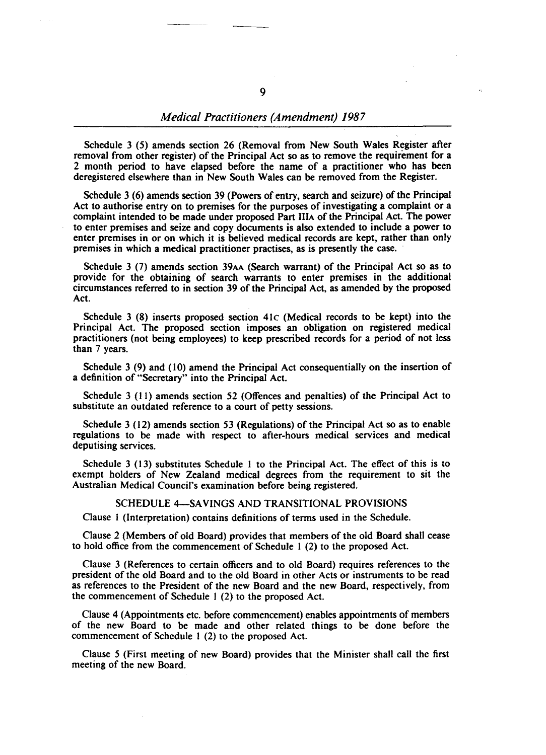## *Medical Practitioners (Amendment) 1987*

Schedule 3 (5) amends section 26 (Removal from New South Wales Register after removal from other register) of the Principal Act so as to remove the requirement for a 2 month period to have elapsed before the name of a practitioner who has been deregistered elsewhere than in New South Wales can be removed from the Register.

Schedule 3 (6) amends section 39 (Powers of entry, search and seizure) of the Principal Act to authorise entry on to premises for the purposes of investigating a complaint or a complaint intended to be made under proposed Part IlIA of the Principal Act. The power to enter premises and seize and copy documents is also extended to include a power to enter premises in or on which it is believed medical records are kept, rather than only premises in which a medical practitioner practises, as is presently the case. '

Schedule 3 (7) amends section 39AA (Search warrant) of the Principal Act so as to provide for the obtaining of search warrants to enter premises in the additional circumstances referred to in section 39 of the Principal Act, as amended by the proposed Act.

Schedule 3 (8) inserts proposed section 41c (Medical records to be kept) into the Principal Act. The proposed section imposes an obligation on registered medical practitioners (not being employees) to keep prescribed records for a period of not less than 7 years.

Schedule 3 (9) and (10) amend the Principal Act consequentially on the insertion of a definition of "Secretary" into the Principal Act.

Schedule 3 (11) amends section 52 (Offences and penalties) of the Principal Act to substitute an outdated reference to a court of petty sessions.

Schedule 3 (12) amends section 53 (Regulations) of the Principal Act so as to enable regulations to be made with respect to after-hours medical services and medical deputising services.

Schedule 3 (13) substitutes Schedule I to the Principal Act. The effect of this is to exempt holders of New Zealand medical degrees from the requirement to sit the Australian Medical Council's examination before being registered.

## SCHEDULE 4-SAVINGS AND TRANSITIONAL PROVISIONS

Clause I (Interpretation) contains definitions of terms used in the Schedule.

Clause 2 (Members of old Board) provides that members of the old Board shall cease to hold office from the commencement of Schedule I (2) to the proposed Act.

Clause 3 (References to certain officers and to old Board) requires references to the president of the old Board and to the old Board in other Acts or instruments to be read as references to the President of the new Board and the new Board, respectively, from the commencement of Schedule I (2) to the proposed Act.

Clause 4 (Appointments etc. before commencement) enables appointments of members of the new Board to be made and other related things to be done before the commencement of Schedule I (2) to the proposed Act.

Clause 5 (First meeting of new Board) provides that the Minister shall call the first meeting of the new Board.